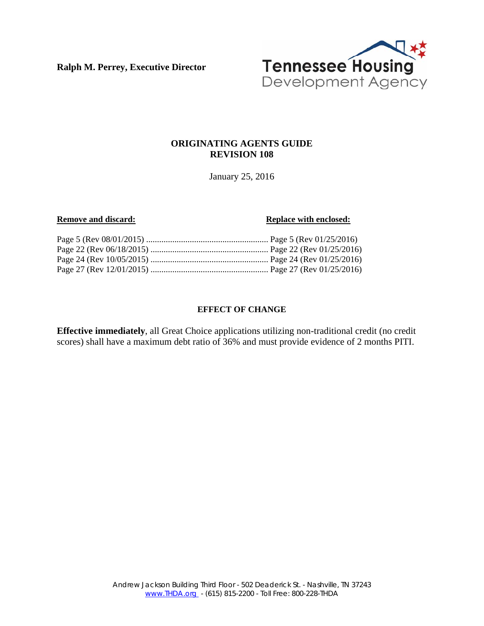**Ralph M. Perrey, Executive Director** 



# **ORIGINATING AGENTS GUIDE REVISION 108**

January 25, 2016

#### **Remove and discard: Replace with enclosed: Replace with enclosed:**

#### **EFFECT OF CHANGE**

**Effective immediately**, all Great Choice applications utilizing non-traditional credit (no credit scores) shall have a maximum debt ratio of 36% and must provide evidence of 2 months PITI.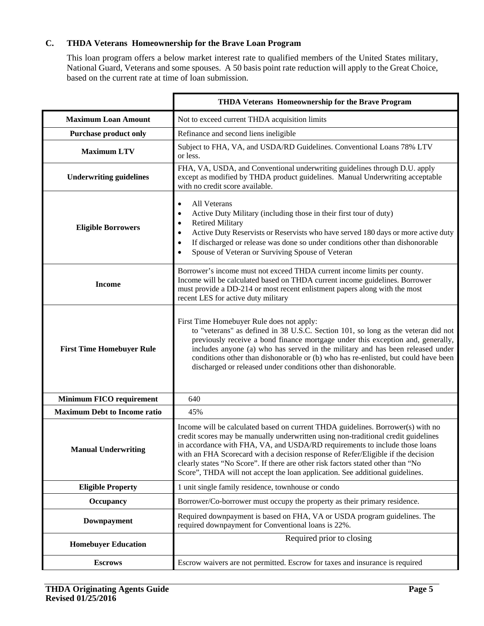# **C. THDA Veterans Homeownership for the Brave Loan Program**

This loan program offers a below market interest rate to qualified members of the United States military, National Guard, Veterans and some spouses. A 50 basis point rate reduction will apply to the Great Choice, based on the current rate at time of loan submission.

|                                     | THDA Veterans Homeownership for the Brave Program                                                                                                                                                                                                                                                                                                                                                                                                                                                             |
|-------------------------------------|---------------------------------------------------------------------------------------------------------------------------------------------------------------------------------------------------------------------------------------------------------------------------------------------------------------------------------------------------------------------------------------------------------------------------------------------------------------------------------------------------------------|
| <b>Maximum Loan Amount</b>          | Not to exceed current THDA acquisition limits                                                                                                                                                                                                                                                                                                                                                                                                                                                                 |
| <b>Purchase product only</b>        | Refinance and second liens ineligible                                                                                                                                                                                                                                                                                                                                                                                                                                                                         |
| <b>Maximum LTV</b>                  | Subject to FHA, VA, and USDA/RD Guidelines. Conventional Loans 78% LTV<br>or less.                                                                                                                                                                                                                                                                                                                                                                                                                            |
| <b>Underwriting guidelines</b>      | FHA, VA, USDA, and Conventional underwriting guidelines through D.U. apply<br>except as modified by THDA product guidelines. Manual Underwriting acceptable<br>with no credit score available.                                                                                                                                                                                                                                                                                                                |
| <b>Eligible Borrowers</b>           | All Veterans<br>Active Duty Military (including those in their first tour of duty)<br><b>Retired Military</b><br>Active Duty Reservists or Reservists who have served 180 days or more active duty<br>If discharged or release was done so under conditions other than dishonorable<br>Spouse of Veteran or Surviving Spouse of Veteran                                                                                                                                                                       |
| <b>Income</b>                       | Borrower's income must not exceed THDA current income limits per county.<br>Income will be calculated based on THDA current income guidelines. Borrower<br>must provide a DD-214 or most recent enlistment papers along with the most<br>recent LES for active duty military                                                                                                                                                                                                                                  |
| <b>First Time Homebuyer Rule</b>    | First Time Homebuyer Rule does not apply:<br>to "veterans" as defined in 38 U.S.C. Section 101, so long as the veteran did not<br>previously receive a bond finance mortgage under this exception and, generally,<br>includes anyone (a) who has served in the military and has been released under<br>conditions other than dishonorable or (b) who has re-enlisted, but could have been<br>discharged or released under conditions other than dishonorable.                                                 |
| <b>Minimum FICO requirement</b>     | 640                                                                                                                                                                                                                                                                                                                                                                                                                                                                                                           |
| <b>Maximum Debt to Income ratio</b> | 45%                                                                                                                                                                                                                                                                                                                                                                                                                                                                                                           |
| <b>Manual Underwriting</b>          | Income will be calculated based on current THDA guidelines. Borrower(s) with no<br>credit scores may be manually underwritten using non-traditional credit guidelines<br>in accordance with FHA, VA, and USDA/RD requirements to include those loans<br>with an FHA Scorecard with a decision response of Refer/Eligible if the decision<br>clearly states "No Score". If there are other risk factors stated other than "No<br>Score", THDA will not accept the loan application. See additional guidelines. |
| <b>Eligible Property</b>            | 1 unit single family residence, townhouse or condo                                                                                                                                                                                                                                                                                                                                                                                                                                                            |
| Occupancy                           | Borrower/Co-borrower must occupy the property as their primary residence.                                                                                                                                                                                                                                                                                                                                                                                                                                     |
| <b>Downpayment</b>                  | Required downpayment is based on FHA, VA or USDA program guidelines. The<br>required downpayment for Conventional loans is 22%.                                                                                                                                                                                                                                                                                                                                                                               |
| <b>Homebuyer Education</b>          | Required prior to closing                                                                                                                                                                                                                                                                                                                                                                                                                                                                                     |
| <b>Escrows</b>                      | Escrow waivers are not permitted. Escrow for taxes and insurance is required                                                                                                                                                                                                                                                                                                                                                                                                                                  |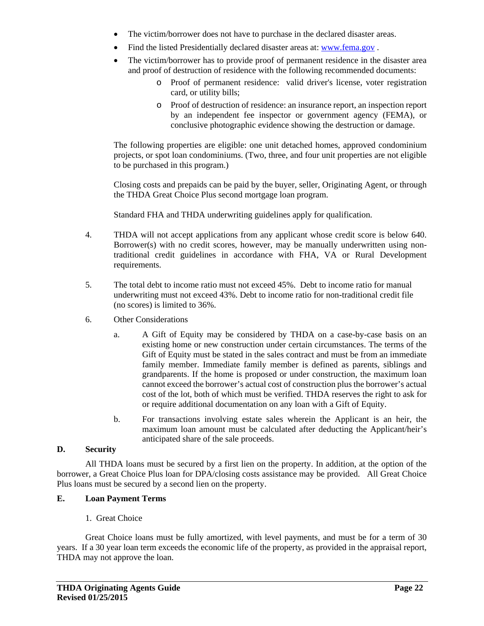- The victim/borrower does not have to purchase in the declared disaster areas.
- Find the listed Presidentially declared disaster areas at: www.fema.gov .
- The victim/borrower has to provide proof of permanent residence in the disaster area and proof of destruction of residence with the following recommended documents:
	- o Proof of permanent residence: valid driver's license, voter registration card, or utility bills;
	- o Proof of destruction of residence: an insurance report, an inspection report by an independent fee inspector or government agency (FEMA), or conclusive photographic evidence showing the destruction or damage.

The following properties are eligible: one unit detached homes, approved condominium projects, or spot loan condominiums. (Two, three, and four unit properties are not eligible to be purchased in this program.)

Closing costs and prepaids can be paid by the buyer, seller, Originating Agent, or through the THDA Great Choice Plus second mortgage loan program.

Standard FHA and THDA underwriting guidelines apply for qualification.

- 4. THDA will not accept applications from any applicant whose credit score is below 640. Borrower(s) with no credit scores, however, may be manually underwritten using nontraditional credit guidelines in accordance with FHA, VA or Rural Development requirements.
- 5. The total debt to income ratio must not exceed 45%. Debt to income ratio for manual underwriting must not exceed 43%. Debt to income ratio for non-traditional credit file (no scores) is limited to 36%.
- 6. Other Considerations
	- a. A Gift of Equity may be considered by THDA on a case-by-case basis on an existing home or new construction under certain circumstances. The terms of the Gift of Equity must be stated in the sales contract and must be from an immediate family member. Immediate family member is defined as parents, siblings and grandparents. If the home is proposed or under construction, the maximum loan cannot exceed the borrower's actual cost of construction plus the borrower's actual cost of the lot, both of which must be verified. THDA reserves the right to ask for or require additional documentation on any loan with a Gift of Equity.
	- b. For transactions involving estate sales wherein the Applicant is an heir, the maximum loan amount must be calculated after deducting the Applicant/heir's anticipated share of the sale proceeds.

#### **D. Security**

All THDA loans must be secured by a first lien on the property. In addition, at the option of the borrower, a Great Choice Plus loan for DPA/closing costs assistance may be provided. All Great Choice Plus loans must be secured by a second lien on the property.

#### **E. Loan Payment Terms**

### 1. Great Choice

Great Choice loans must be fully amortized, with level payments, and must be for a term of 30 years. If a 30 year loan term exceeds the economic life of the property, as provided in the appraisal report, THDA may not approve the loan.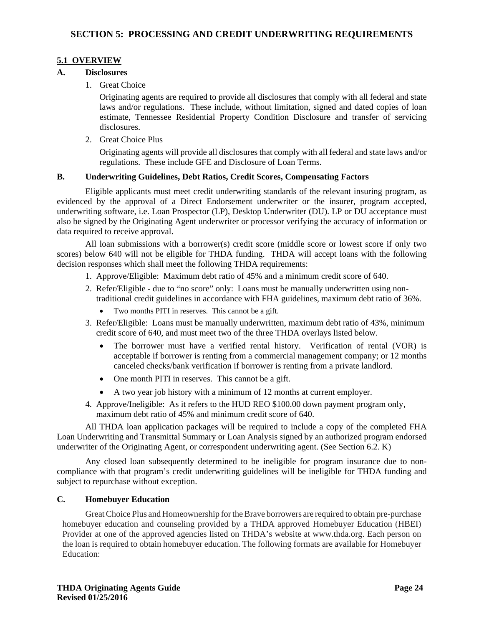### **5.1 OVERVIEW**

#### **A. Disclosures**

1. Great Choice

Originating agents are required to provide all disclosures that comply with all federal and state laws and/or regulations. These include, without limitation, signed and dated copies of loan estimate, Tennessee Residential Property Condition Disclosure and transfer of servicing disclosures.

2. Great Choice Plus

Originating agents will provide all disclosures that comply with all federal and state laws and/or regulations. These include GFE and Disclosure of Loan Terms.

#### **B. Underwriting Guidelines, Debt Ratios, Credit Scores, Compensating Factors**

Eligible applicants must meet credit underwriting standards of the relevant insuring program, as evidenced by the approval of a Direct Endorsement underwriter or the insurer, program accepted, underwriting software, i.e. Loan Prospector (LP), Desktop Underwriter (DU). LP or DU acceptance must also be signed by the Originating Agent underwriter or processor verifying the accuracy of information or data required to receive approval.

All loan submissions with a borrower(s) credit score (middle score or lowest score if only two scores) below 640 will not be eligible for THDA funding. THDA will accept loans with the following decision responses which shall meet the following THDA requirements:

- 1. Approve/Eligible: Maximum debt ratio of 45% and a minimum credit score of 640.
- 2. Refer/Eligible due to "no score" only: Loans must be manually underwritten using non traditional credit guidelines in accordance with FHA guidelines, maximum debt ratio of 36%.
	- Two months PITI in reserves. This cannot be a gift.
- 3. Refer/Eligible: Loans must be manually underwritten, maximum debt ratio of 43%, minimum credit score of 640, and must meet two of the three THDA overlays listed below.
	- The borrower must have a verified rental history. Verification of rental (VOR) is acceptable if borrower is renting from a commercial management company; or 12 months canceled checks/bank verification if borrower is renting from a private landlord.
	- One month PITI in reserves. This cannot be a gift.
	- A two year job history with a minimum of 12 months at current employer.
- 4. Approve/Ineligible: As it refers to the HUD REO \$100.00 down payment program only, maximum debt ratio of 45% and minimum credit score of 640.

All THDA loan application packages will be required to include a copy of the completed FHA Loan Underwriting and Transmittal Summary or Loan Analysis signed by an authorized program endorsed underwriter of the Originating Agent, or correspondent underwriting agent. (See Section 6.2. K)

Any closed loan subsequently determined to be ineligible for program insurance due to noncompliance with that program's credit underwriting guidelines will be ineligible for THDA funding and subject to repurchase without exception.

### **C. Homebuyer Education**

 Great Choice Plus and Homeownership for the Brave borrowers are required to obtain pre-purchase homebuyer education and counseling provided by a THDA approved Homebuyer Education (HBEI) Provider at one of the approved agencies listed on THDA's website at www.thda.org. Each person on the loan is required to obtain homebuyer education. The following formats are available for Homebuyer Education: